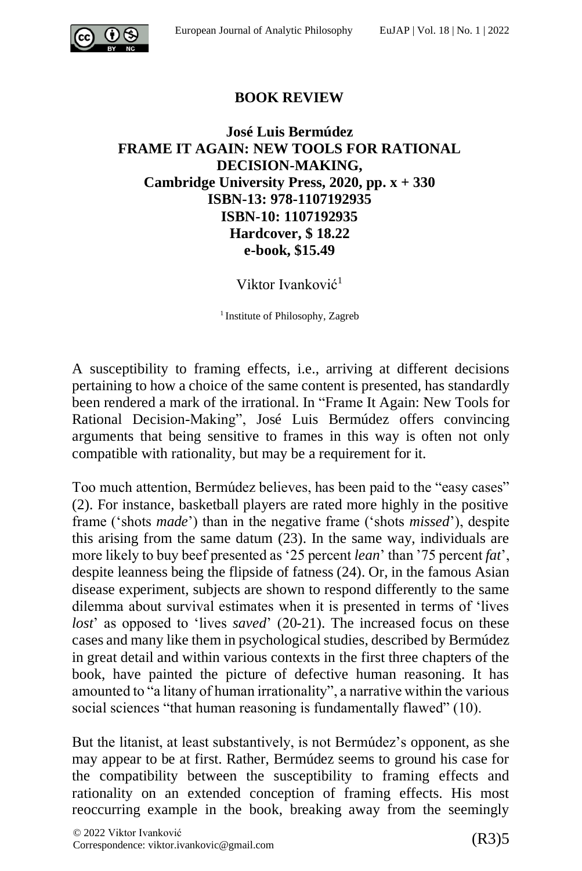

## **BOOK REVIEW**

## **José Luis Bermúdez FRAME IT AGAIN: NEW TOOLS FOR RATIONAL DECISION-MAKING, Cambridge University Press, 2020, pp. x + 330 ISBN-13: 978-1107192935 ISBN-10: 1107192935 Hardcover, \$ 18.22 e-book, \$15.49**

Viktor Ivanković<sup>1</sup>

<sup>1</sup> Institute of Philosophy, Zagreb

A susceptibility to framing effects, i.e., arriving at different decisions pertaining to how a choice of the same content is presented, has standardly been rendered a mark of the irrational. In "Frame It Again: New Tools for Rational Decision-Making", José Luis Bermúdez offers convincing arguments that being sensitive to frames in this way is often not only compatible with rationality, but may be a requirement for it.

Too much attention, Bermúdez believes, has been paid to the "easy cases" (2). For instance, basketball players are rated more highly in the positive frame ('shots *made*') than in the negative frame ('shots *missed*'), despite this arising from the same datum (23). In the same way, individuals are more likely to buy beef presented as '25 percent *lean*' than '75 percent *fat*', despite leanness being the flipside of fatness (24). Or, in the famous Asian disease experiment, subjects are shown to respond differently to the same dilemma about survival estimates when it is presented in terms of 'lives *lost*' as opposed to 'lives *saved*' (20-21). The increased focus on these cases and many like them in psychological studies, described by Bermúdez in great detail and within various contexts in the first three chapters of the book, have painted the picture of defective human reasoning. It has amounted to "a litany of human irrationality", a narrative within the various social sciences "that human reasoning is fundamentally flawed" (10).

But the litanist, at least substantively, is not Bermúdez's opponent, as she may appear to be at first. Rather, Bermúdez seems to ground his case for the compatibility between the susceptibility to framing effects and rationality on an extended conception of framing effects. His most reoccurring example in the book, breaking away from the seemingly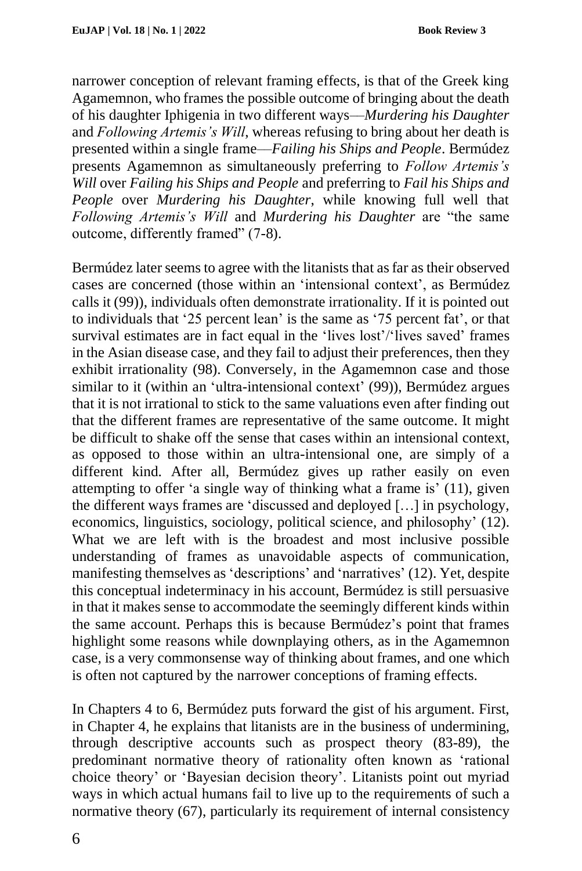narrower conception of relevant framing effects, is that of the Greek king Agamemnon, who frames the possible outcome of bringing about the death of his daughter Iphigenia in two different ways––*Murdering his Daughter*  and *Following Artemis's Will*, whereas refusing to bring about her death is presented within a single frame––*Failing his Ships and People*. Bermúdez presents Agamemnon as simultaneously preferring to *Follow Artemis's Will* over *Failing his Ships and People* and preferring to *Fail his Ships and People* over *Murdering his Daughter*, while knowing full well that *Following Artemis's Will* and *Murdering his Daughter* are "the same outcome, differently framed" (7-8).

Bermúdez later seems to agree with the litanists that as far as their observed cases are concerned (those within an 'intensional context', as Bermúdez calls it (99)), individuals often demonstrate irrationality. If it is pointed out to individuals that '25 percent lean' is the same as '75 percent fat', or that survival estimates are in fact equal in the 'lives lost'/'lives saved' frames in the Asian disease case, and they fail to adjust their preferences, then they exhibit irrationality (98). Conversely, in the Agamemnon case and those similar to it (within an 'ultra-intensional context' (99)), Bermúdez argues that it is not irrational to stick to the same valuations even after finding out that the different frames are representative of the same outcome. It might be difficult to shake off the sense that cases within an intensional context, as opposed to those within an ultra-intensional one, are simply of a different kind. After all, Bermúdez gives up rather easily on even attempting to offer 'a single way of thinking what a frame is' (11), given the different ways frames are 'discussed and deployed […] in psychology, economics, linguistics, sociology, political science, and philosophy' (12). What we are left with is the broadest and most inclusive possible understanding of frames as unavoidable aspects of communication, manifesting themselves as 'descriptions' and 'narratives' (12). Yet, despite this conceptual indeterminacy in his account, Bermúdez is still persuasive in that it makes sense to accommodate the seemingly different kinds within the same account. Perhaps this is because Bermúdez's point that frames highlight some reasons while downplaying others, as in the Agamemnon case, is a very commonsense way of thinking about frames, and one which is often not captured by the narrower conceptions of framing effects.

In Chapters 4 to 6, Bermúdez puts forward the gist of his argument. First, in Chapter 4, he explains that litanists are in the business of undermining, through descriptive accounts such as prospect theory (83-89), the predominant normative theory of rationality often known as 'rational choice theory' or 'Bayesian decision theory'. Litanists point out myriad ways in which actual humans fail to live up to the requirements of such a normative theory (67), particularly its requirement of internal consistency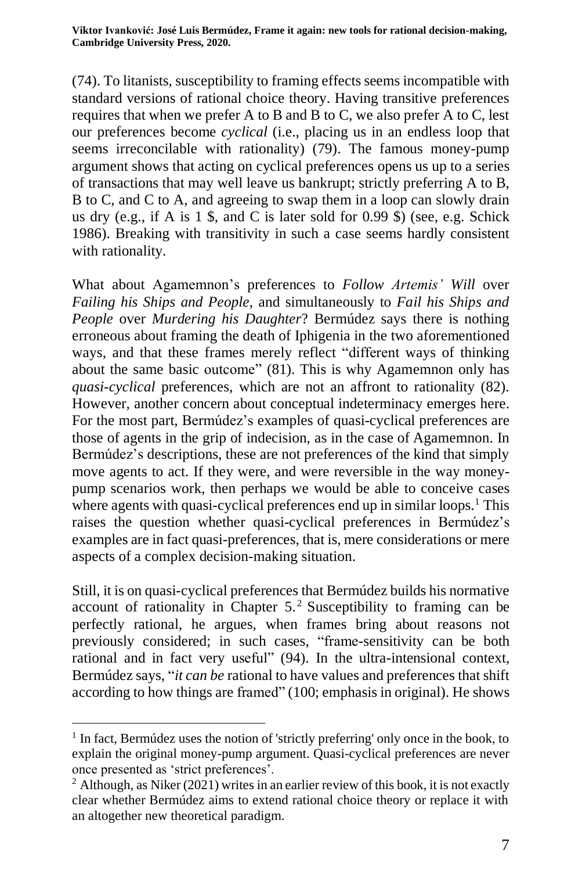**Viktor Ivanković: José Luis Bermúdez, Frame it again: new tools for rational decision-making, Cambridge University Press, 2020.**

(74). To litanists, susceptibility to framing effects seems incompatible with standard versions of rational choice theory. Having transitive preferences requires that when we prefer A to B and B to C, we also prefer A to C, lest our preferences become *cyclical* (i.e., placing us in an endless loop that seems irreconcilable with rationality) (79). The famous money-pump argument shows that acting on cyclical preferences opens us up to a series of transactions that may well leave us bankrupt; strictly preferring A to B, B to C, and C to A, and agreeing to swap them in a loop can slowly drain us dry (e.g., if A is 1 \$, and C is later sold for 0.99 \$) (see, e.g. Schick 1986). Breaking with transitivity in such a case seems hardly consistent with rationality.

What about Agamemnon's preferences to *Follow Artemis' Will* over *Failing his Ships and People*, and simultaneously to *Fail his Ships and People* over *Murdering his Daughter*? Bermúdez says there is nothing erroneous about framing the death of Iphigenia in the two aforementioned ways, and that these frames merely reflect "different ways of thinking about the same basic outcome" (81). This is why Agamemnon only has *quasi-cyclical* preferences, which are not an affront to rationality (82). However, another concern about conceptual indeterminacy emerges here. For the most part, Bermúdez's examples of quasi-cyclical preferences are those of agents in the grip of indecision, as in the case of Agamemnon. In Bermúdez's descriptions, these are not preferences of the kind that simply move agents to act. If they were, and were reversible in the way moneypump scenarios work, then perhaps we would be able to conceive cases where agents with quasi-cyclical preferences end up in similar loops.<sup>1</sup> This raises the question whether quasi-cyclical preferences in Bermúdez's examples are in fact quasi-preferences, that is, mere considerations or mere aspects of a complex decision-making situation.

Still, it is on quasi-cyclical preferences that Bermúdez builds his normative account of rationality in Chapter  $5<sup>2</sup>$  Susceptibility to framing can be perfectly rational, he argues, when frames bring about reasons not previously considered; in such cases, "frame-sensitivity can be both rational and in fact very useful" (94). In the ultra-intensional context, Bermúdez says, "*it can be* rational to have values and preferences that shift according to how things are framed" (100; emphasis in original). He shows

<sup>&</sup>lt;sup>1</sup> In fact, Bermúdez uses the notion of 'strictly preferring' only once in the book, to explain the original money-pump argument. Quasi-cyclical preferences are never once presented as 'strict preferences'.

 $2$  Although, as Niker (2021) writes in an earlier review of this book, it is not exactly clear whether Bermúdez aims to extend rational choice theory or replace it with an altogether new theoretical paradigm.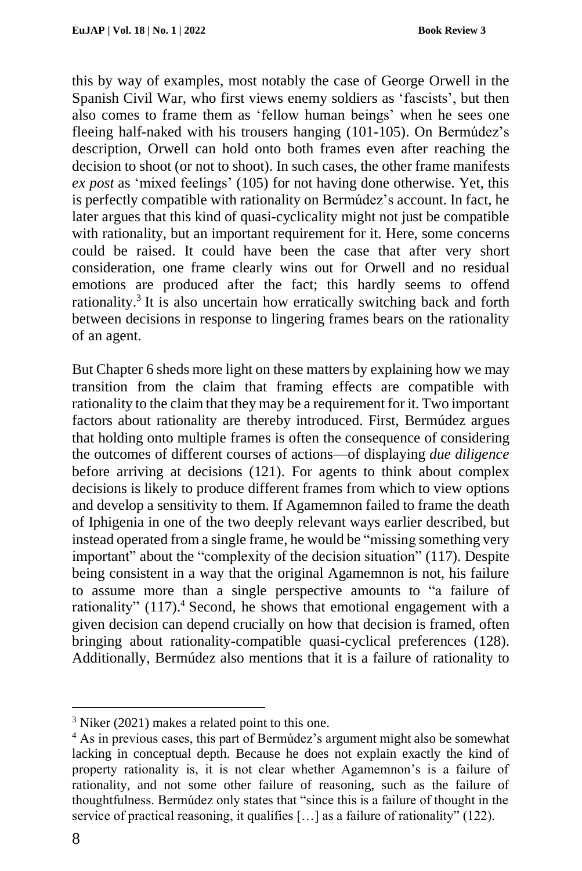this by way of examples, most notably the case of George Orwell in the Spanish Civil War, who first views enemy soldiers as 'fascists', but then also comes to frame them as 'fellow human beings' when he sees one fleeing half-naked with his trousers hanging (101-105). On Bermúdez's description, Orwell can hold onto both frames even after reaching the decision to shoot (or not to shoot). In such cases, the other frame manifests *ex post* as 'mixed feelings' (105) for not having done otherwise. Yet, this is perfectly compatible with rationality on Bermúdez's account. In fact, he later argues that this kind of quasi-cyclicality might not just be compatible with rationality, but an important requirement for it. Here, some concerns could be raised. It could have been the case that after very short consideration, one frame clearly wins out for Orwell and no residual emotions are produced after the fact; this hardly seems to offend rationality.<sup>3</sup> It is also uncertain how erratically switching back and forth between decisions in response to lingering frames bears on the rationality of an agent.

But Chapter 6 sheds more light on these matters by explaining how we may transition from the claim that framing effects are compatible with rationality to the claim that they may be a requirement for it. Two important factors about rationality are thereby introduced. First, Bermúdez argues that holding onto multiple frames is often the consequence of considering the outcomes of different courses of actions––of displaying *due diligence* before arriving at decisions (121). For agents to think about complex decisions is likely to produce different frames from which to view options and develop a sensitivity to them. If Agamemnon failed to frame the death of Iphigenia in one of the two deeply relevant ways earlier described, but instead operated from a single frame, he would be "missing something very important" about the "complexity of the decision situation" (117). Despite being consistent in a way that the original Agamemnon is not, his failure to assume more than a single perspective amounts to "a failure of rationality" (117).<sup>4</sup> Second, he shows that emotional engagement with a given decision can depend crucially on how that decision is framed, often bringing about rationality-compatible quasi-cyclical preferences (128). Additionally, Bermúdez also mentions that it is a failure of rationality to

<sup>3</sup> Niker (2021) makes a related point to this one.

<sup>&</sup>lt;sup>4</sup> As in previous cases, this part of Bermúdez's argument might also be somewhat lacking in conceptual depth. Because he does not explain exactly the kind of property rationality is, it is not clear whether Agamemnon's is a failure of rationality, and not some other failure of reasoning, such as the failure of thoughtfulness. Bermúdez only states that "since this is a failure of thought in the service of practical reasoning, it qualifies […] as a failure of rationality" (122).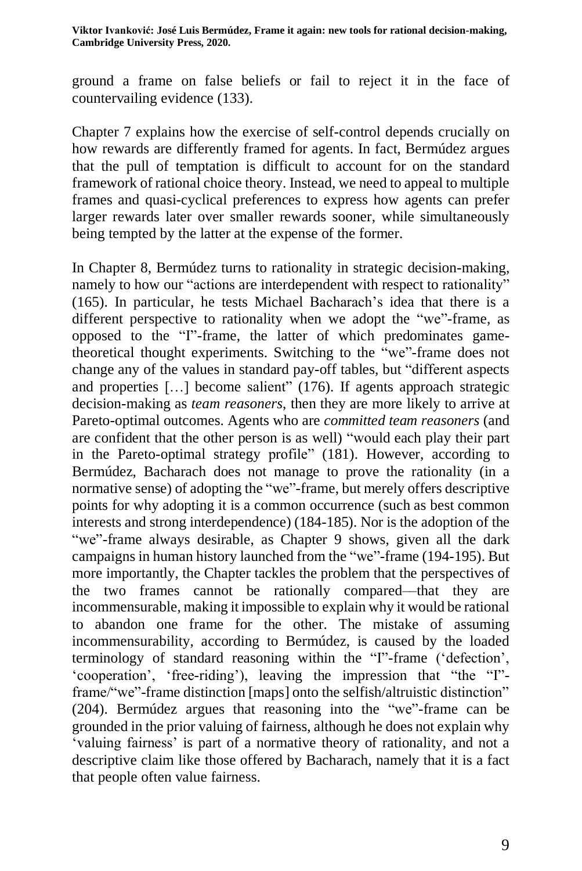ground a frame on false beliefs or fail to reject it in the face of countervailing evidence (133).

Chapter 7 explains how the exercise of self-control depends crucially on how rewards are differently framed for agents. In fact, Bermúdez argues that the pull of temptation is difficult to account for on the standard framework of rational choice theory. Instead, we need to appeal to multiple frames and quasi-cyclical preferences to express how agents can prefer larger rewards later over smaller rewards sooner, while simultaneously being tempted by the latter at the expense of the former.

In Chapter 8, Bermúdez turns to rationality in strategic decision-making, namely to how our "actions are interdependent with respect to rationality" (165). In particular, he tests Michael Bacharach's idea that there is a different perspective to rationality when we adopt the "we"-frame, as opposed to the "I"-frame, the latter of which predominates gametheoretical thought experiments. Switching to the "we"-frame does not change any of the values in standard pay-off tables, but "different aspects and properties [...] become salient" (176). If agents approach strategic decision-making as *team reasoners*, then they are more likely to arrive at Pareto-optimal outcomes. Agents who are *committed team reasoners* (and are confident that the other person is as well) "would each play their part in the Pareto-optimal strategy profile" (181). However, according to Bermúdez, Bacharach does not manage to prove the rationality (in a normative sense) of adopting the "we"-frame, but merely offers descriptive points for why adopting it is a common occurrence (such as best common interests and strong interdependence) (184-185). Nor is the adoption of the "we"-frame always desirable, as Chapter 9 shows, given all the dark campaigns in human history launched from the "we"-frame (194-195). But more importantly, the Chapter tackles the problem that the perspectives of the two frames cannot be rationally compared––that they are incommensurable, making it impossible to explain why it would be rational to abandon one frame for the other. The mistake of assuming incommensurability, according to Bermúdez, is caused by the loaded terminology of standard reasoning within the "I"-frame ('defection', 'cooperation', 'free-riding'), leaving the impression that "the "I" frame/"we"-frame distinction [maps] onto the selfish/altruistic distinction" (204). Bermúdez argues that reasoning into the "we"-frame can be grounded in the prior valuing of fairness, although he does not explain why 'valuing fairness' is part of a normative theory of rationality, and not a descriptive claim like those offered by Bacharach, namely that it is a fact that people often value fairness.